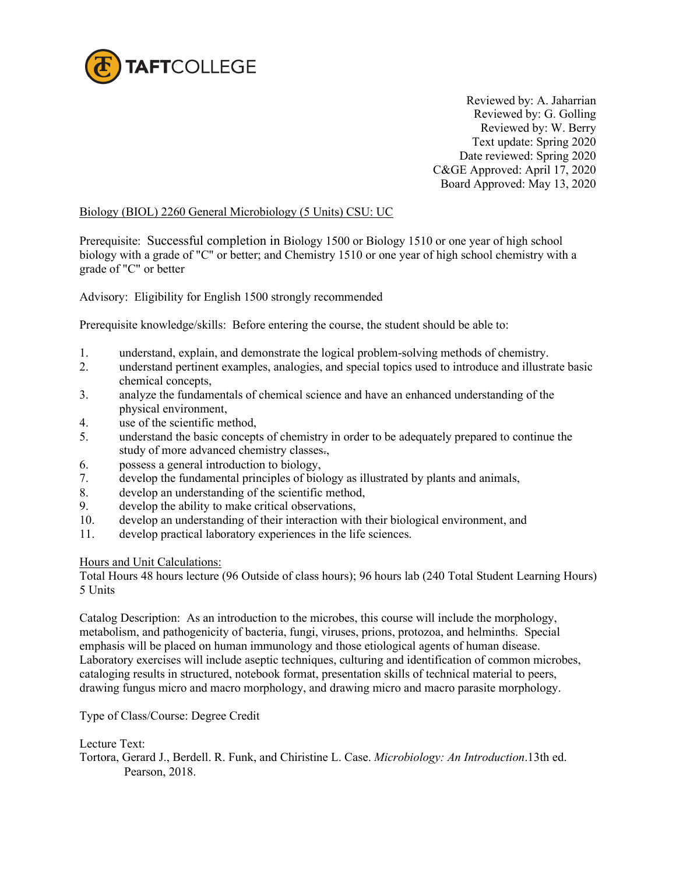

Reviewed by: A. Jaharrian Reviewed by: G. Golling Reviewed by: W. Berry Text update: Spring 2020 Date reviewed: Spring 2020 C&GE Approved: April 17, 2020 Board Approved: May 13, 2020

### Biology (BIOL) 2260 General Microbiology (5 Units) CSU: UC

Prerequisite: Successful completion in Biology 1500 or Biology 1510 or one year of high school biology with a grade of "C" or better; and Chemistry 1510 or one year of high school chemistry with a grade of "C" or better

Advisory: Eligibility for English 1500 strongly recommended

Prerequisite knowledge/skills: Before entering the course, the student should be able to:

- 1. understand, explain, and demonstrate the logical problem-solving methods of chemistry.
- 2. understand pertinent examples, analogies, and special topics used to introduce and illustrate basic chemical concepts,
- 3. analyze the fundamentals of chemical science and have an enhanced understanding of the physical environment,
- 4. use of the scientific method,
- 5. understand the basic concepts of chemistry in order to be adequately prepared to continue the study of more advanced chemistry classes.,
- 6. possess a general introduction to biology,
- 7. develop the fundamental principles of biology as illustrated by plants and animals,
- 8. develop an understanding of the scientific method,
- 9. develop the ability to make critical observations,
- 10. develop an understanding of their interaction with their biological environment, and
- 11. develop practical laboratory experiences in the life sciences.

#### Hours and Unit Calculations:

Total Hours 48 hours lecture (96 Outside of class hours); 96 hours lab (240 Total Student Learning Hours) 5 Units

Catalog Description: As an introduction to the microbes, this course will include the morphology, metabolism, and pathogenicity of bacteria, fungi, viruses, prions, protozoa, and helminths. Special emphasis will be placed on human immunology and those etiological agents of human disease. Laboratory exercises will include aseptic techniques, culturing and identification of common microbes, cataloging results in structured, notebook format, presentation skills of technical material to peers, drawing fungus micro and macro morphology, and drawing micro and macro parasite morphology.

Type of Class/Course: Degree Credit

#### Lecture Text:

Tortora, Gerard J., Berdell. R. Funk, and Chiristine L. Case. *Microbiology: An Introduction*.13th ed. Pearson, 2018.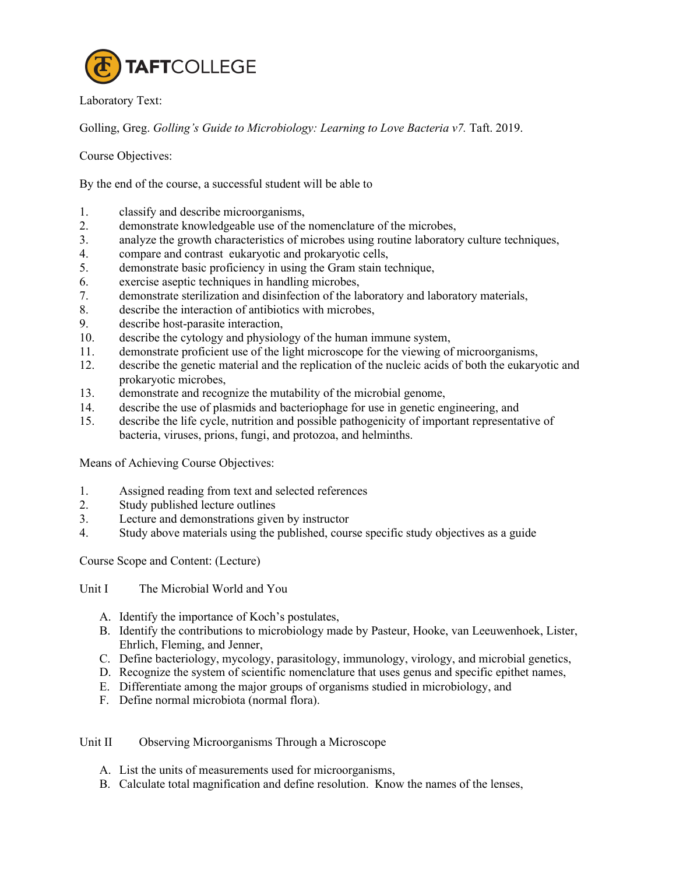

Laboratory Text:

Golling, Greg. *Golling's Guide to Microbiology: Learning to Love Bacteria v7.* Taft. 2019.

Course Objectives:

By the end of the course, a successful student will be able to

- 1. classify and describe microorganisms,
- 2. demonstrate knowledgeable use of the nomenclature of the microbes,
- 3. analyze the growth characteristics of microbes using routine laboratory culture techniques,
- 4. compare and contrast eukaryotic and prokaryotic cells,
- 5. demonstrate basic proficiency in using the Gram stain technique,
- 6. exercise aseptic techniques in handling microbes,
- 7. demonstrate sterilization and disinfection of the laboratory and laboratory materials,
- 8. describe the interaction of antibiotics with microbes,
- 9. describe host-parasite interaction,
- 10. describe the cytology and physiology of the human immune system,
- 11. demonstrate proficient use of the light microscope for the viewing of microorganisms,
- 12. describe the genetic material and the replication of the nucleic acids of both the eukaryotic and prokaryotic microbes,
- 13. demonstrate and recognize the mutability of the microbial genome,
- 14. describe the use of plasmids and bacteriophage for use in genetic engineering, and
- 15. describe the life cycle, nutrition and possible pathogenicity of important representative of bacteria, viruses, prions, fungi, and protozoa, and helminths.

Means of Achieving Course Objectives:

- 1. Assigned reading from text and selected references
- 2. Study published lecture outlines
- 3. Lecture and demonstrations given by instructor
- 4. Study above materials using the published, course specific study objectives as a guide

Course Scope and Content: (Lecture)

Unit I The Microbial World and You

- A. Identify the importance of Koch's postulates,
- B. Identify the contributions to microbiology made by Pasteur, Hooke, van Leeuwenhoek, Lister, Ehrlich, Fleming, and Jenner,
- C. Define bacteriology, mycology, parasitology, immunology, virology, and microbial genetics,
- D. Recognize the system of scientific nomenclature that uses genus and specific epithet names,
- E. Differentiate among the major groups of organisms studied in microbiology, and
- F. Define normal microbiota (normal flora).

Unit II Observing Microorganisms Through a Microscope

- A. List the units of measurements used for microorganisms,
- B. Calculate total magnification and define resolution. Know the names of the lenses,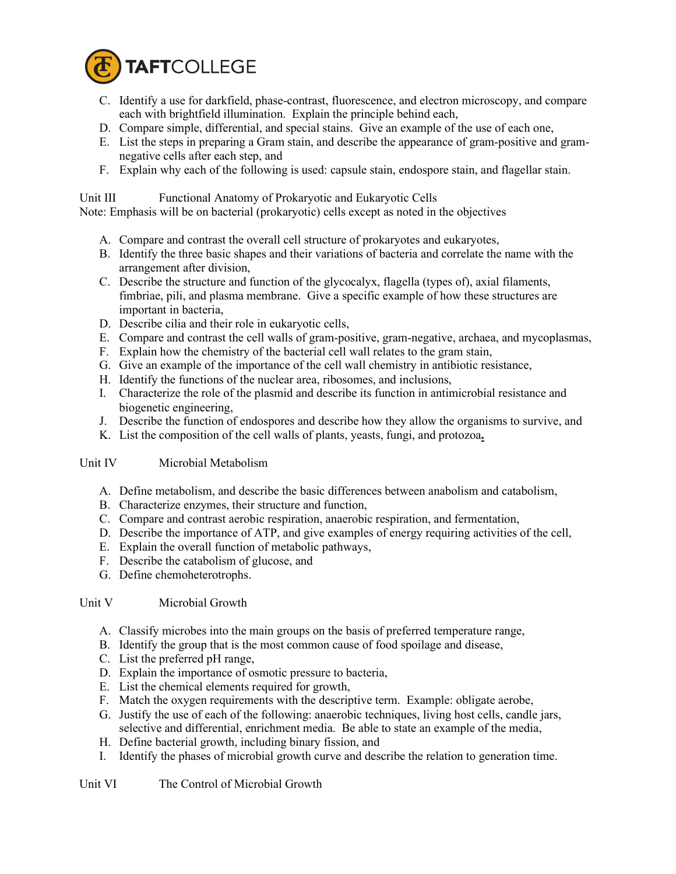

- C. Identify a use for darkfield, phase-contrast, fluorescence, and electron microscopy, and compare each with brightfield illumination. Explain the principle behind each,
- D. Compare simple, differential, and special stains. Give an example of the use of each one,
- E. List the steps in preparing a Gram stain, and describe the appearance of gram-positive and gramnegative cells after each step, and
- F. Explain why each of the following is used: capsule stain, endospore stain, and flagellar stain.

Unit III Functional Anatomy of Prokaryotic and Eukaryotic Cells

Note: Emphasis will be on bacterial (prokaryotic) cells except as noted in the objectives

- A. Compare and contrast the overall cell structure of prokaryotes and eukaryotes,
- B. Identify the three basic shapes and their variations of bacteria and correlate the name with the arrangement after division,
- C. Describe the structure and function of the glycocalyx, flagella (types of), axial filaments, fimbriae, pili, and plasma membrane. Give a specific example of how these structures are important in bacteria,
- D. Describe cilia and their role in eukaryotic cells,
- E. Compare and contrast the cell walls of gram-positive, gram-negative, archaea, and mycoplasmas,
- F. Explain how the chemistry of the bacterial cell wall relates to the gram stain,
- G. Give an example of the importance of the cell wall chemistry in antibiotic resistance,
- H. Identify the functions of the nuclear area, ribosomes, and inclusions,
- I. Characterize the role of the plasmid and describe its function in antimicrobial resistance and biogenetic engineering,
- J. Describe the function of endospores and describe how they allow the organisms to survive, and
- K. List the composition of the cell walls of plants, yeasts, fungi, and protozoa**.**

# Unit IV Microbial Metabolism

- A. Define metabolism, and describe the basic differences between anabolism and catabolism,
- B. Characterize enzymes, their structure and function,
- C. Compare and contrast aerobic respiration, anaerobic respiration, and fermentation,
- D. Describe the importance of ATP, and give examples of energy requiring activities of the cell,
- E. Explain the overall function of metabolic pathways,
- F. Describe the catabolism of glucose, and
- G. Define chemoheterotrophs.

# Unit V Microbial Growth

- A. Classify microbes into the main groups on the basis of preferred temperature range,
- B. Identify the group that is the most common cause of food spoilage and disease,
- C. List the preferred pH range,
- D. Explain the importance of osmotic pressure to bacteria,
- E. List the chemical elements required for growth,
- F. Match the oxygen requirements with the descriptive term. Example: obligate aerobe,
- G. Justify the use of each of the following: anaerobic techniques, living host cells, candle jars, selective and differential, enrichment media. Be able to state an example of the media,
- H. Define bacterial growth, including binary fission, and
- I. Identify the phases of microbial growth curve and describe the relation to generation time.

## Unit VI The Control of Microbial Growth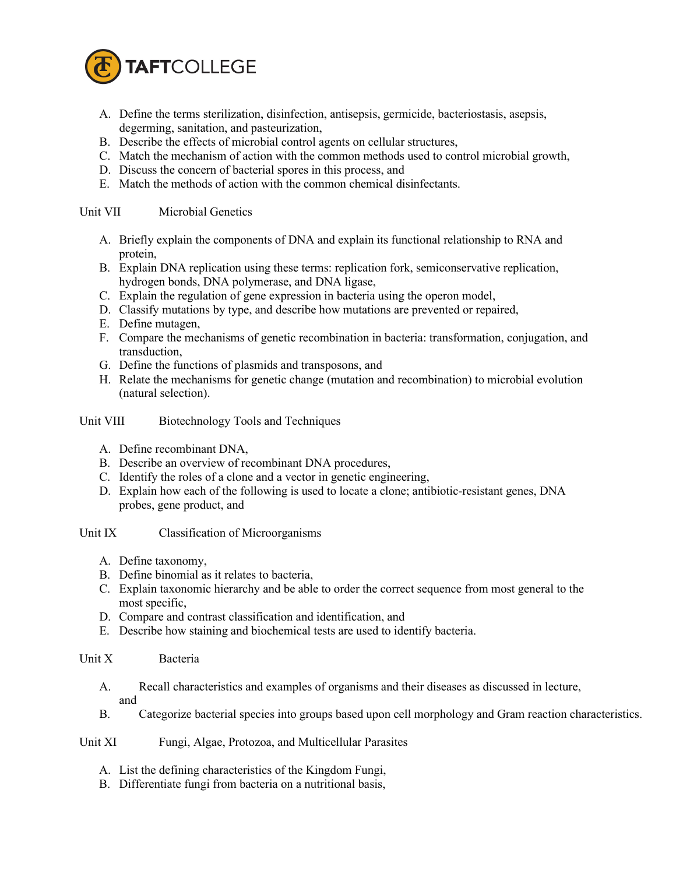

- A. Define the terms sterilization, disinfection, antisepsis, germicide, bacteriostasis, asepsis, degerming, sanitation, and pasteurization,
- B. Describe the effects of microbial control agents on cellular structures,
- C. Match the mechanism of action with the common methods used to control microbial growth,
- D. Discuss the concern of bacterial spores in this process, and
- E. Match the methods of action with the common chemical disinfectants.

### Unit VII Microbial Genetics

- A. Briefly explain the components of DNA and explain its functional relationship to RNA and protein,
- B. Explain DNA replication using these terms: replication fork, semiconservative replication, hydrogen bonds, DNA polymerase, and DNA ligase,
- C. Explain the regulation of gene expression in bacteria using the operon model,
- D. Classify mutations by type, and describe how mutations are prevented or repaired,
- E. Define mutagen,
- F. Compare the mechanisms of genetic recombination in bacteria: transformation, conjugation, and transduction,
- G. Define the functions of plasmids and transposons, and
- H. Relate the mechanisms for genetic change (mutation and recombination) to microbial evolution (natural selection).

### Unit VIII Biotechnology Tools and Techniques

- A. Define recombinant DNA,
- B. Describe an overview of recombinant DNA procedures,
- C. Identify the roles of a clone and a vector in genetic engineering,
- D. Explain how each of the following is used to locate a clone; antibiotic-resistant genes, DNA probes, gene product, and

#### Unit IX Classification of Microorganisms

- A. Define taxonomy,
- B. Define binomial as it relates to bacteria,
- C. Explain taxonomic hierarchy and be able to order the correct sequence from most general to the most specific,
- D. Compare and contrast classification and identification, and
- E. Describe how staining and biochemical tests are used to identify bacteria.

## Unit X Bacteria

- A. Recall characteristics and examples of organisms and their diseases as discussed in lecture, and
- B. Categorize bacterial species into groups based upon cell morphology and Gram reaction characteristics.

### Unit XI Fungi, Algae, Protozoa, and Multicellular Parasites

- A. List the defining characteristics of the Kingdom Fungi,
- B. Differentiate fungi from bacteria on a nutritional basis,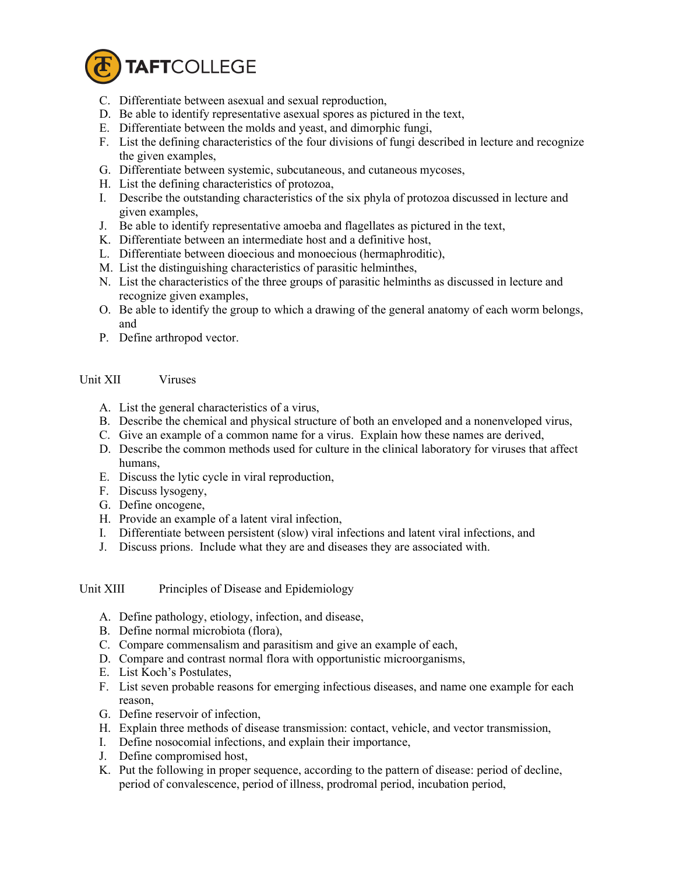

- C. Differentiate between asexual and sexual reproduction,
- D. Be able to identify representative asexual spores as pictured in the text,
- E. Differentiate between the molds and yeast, and dimorphic fungi,
- F. List the defining characteristics of the four divisions of fungi described in lecture and recognize the given examples,
- G. Differentiate between systemic, subcutaneous, and cutaneous mycoses,
- H. List the defining characteristics of protozoa,
- I. Describe the outstanding characteristics of the six phyla of protozoa discussed in lecture and given examples,
- J. Be able to identify representative amoeba and flagellates as pictured in the text,
- K. Differentiate between an intermediate host and a definitive host,
- L. Differentiate between dioecious and monoecious (hermaphroditic),
- M. List the distinguishing characteristics of parasitic helminthes,
- N. List the characteristics of the three groups of parasitic helminths as discussed in lecture and recognize given examples,
- O. Be able to identify the group to which a drawing of the general anatomy of each worm belongs, and
- P. Define arthropod vector.

# Unit XII Viruses

- A. List the general characteristics of a virus,
- B. Describe the chemical and physical structure of both an enveloped and a nonenveloped virus,
- C. Give an example of a common name for a virus. Explain how these names are derived,
- D. Describe the common methods used for culture in the clinical laboratory for viruses that affect humans,
- E. Discuss the lytic cycle in viral reproduction,
- F. Discuss lysogeny,
- G. Define oncogene,
- H. Provide an example of a latent viral infection,
- I. Differentiate between persistent (slow) viral infections and latent viral infections, and
- J. Discuss prions. Include what they are and diseases they are associated with.

## Unit XIII Principles of Disease and Epidemiology

- A. Define pathology, etiology, infection, and disease,
- B. Define normal microbiota (flora),
- C. Compare commensalism and parasitism and give an example of each,
- D. Compare and contrast normal flora with opportunistic microorganisms,
- E. List Koch's Postulates,
- F. List seven probable reasons for emerging infectious diseases, and name one example for each reason,
- G. Define reservoir of infection,
- H. Explain three methods of disease transmission: contact, vehicle, and vector transmission,
- I. Define nosocomial infections, and explain their importance,
- J. Define compromised host,
- K. Put the following in proper sequence, according to the pattern of disease: period of decline, period of convalescence, period of illness, prodromal period, incubation period,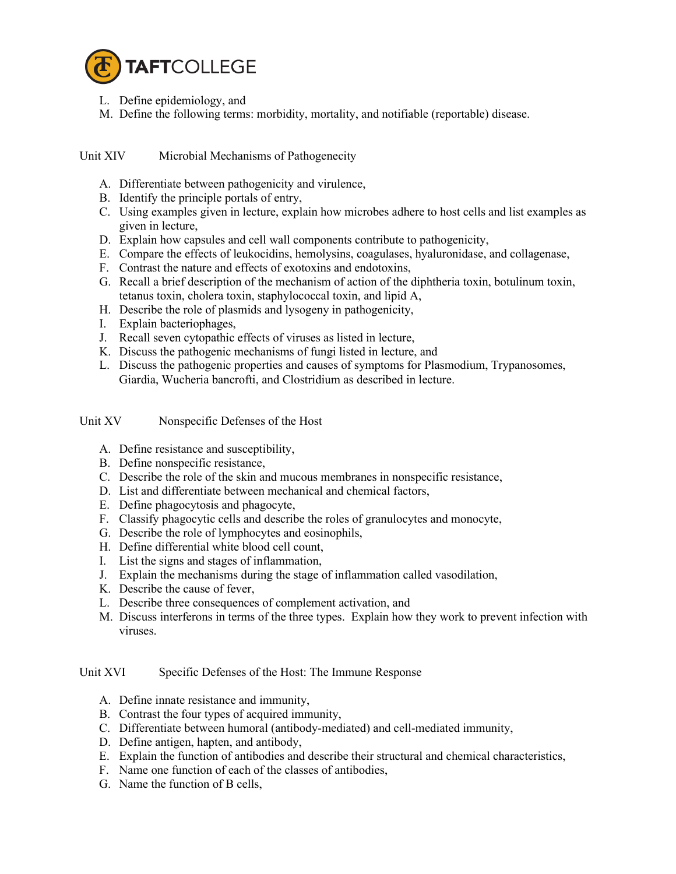

- L. Define epidemiology, and
- M. Define the following terms: morbidity, mortality, and notifiable (reportable) disease.

Unit XIV Microbial Mechanisms of Pathogenecity

- A. Differentiate between pathogenicity and virulence,
- B. Identify the principle portals of entry,
- C. Using examples given in lecture, explain how microbes adhere to host cells and list examples as given in lecture,
- D. Explain how capsules and cell wall components contribute to pathogenicity,
- E. Compare the effects of leukocidins, hemolysins, coagulases, hyaluronidase, and collagenase,
- F. Contrast the nature and effects of exotoxins and endotoxins,
- G. Recall a brief description of the mechanism of action of the diphtheria toxin, botulinum toxin, tetanus toxin, cholera toxin, staphylococcal toxin, and lipid A,
- H. Describe the role of plasmids and lysogeny in pathogenicity,
- I. Explain bacteriophages,
- J. Recall seven cytopathic effects of viruses as listed in lecture,
- K. Discuss the pathogenic mechanisms of fungi listed in lecture, and
- L. Discuss the pathogenic properties and causes of symptoms for Plasmodium, Trypanosomes, Giardia, Wucheria bancrofti, and Clostridium as described in lecture.

Unit XV Nonspecific Defenses of the Host

- A. Define resistance and susceptibility,
- B. Define nonspecific resistance,
- C. Describe the role of the skin and mucous membranes in nonspecific resistance,
- D. List and differentiate between mechanical and chemical factors,
- E. Define phagocytosis and phagocyte,
- F. Classify phagocytic cells and describe the roles of granulocytes and monocyte,
- G. Describe the role of lymphocytes and eosinophils,
- H. Define differential white blood cell count,
- I. List the signs and stages of inflammation,
- J. Explain the mechanisms during the stage of inflammation called vasodilation,
- K. Describe the cause of fever,
- L. Describe three consequences of complement activation, and
- M. Discuss interferons in terms of the three types. Explain how they work to prevent infection with viruses.

Unit XVI Specific Defenses of the Host: The Immune Response

- A. Define innate resistance and immunity,
- B. Contrast the four types of acquired immunity,
- C. Differentiate between humoral (antibody-mediated) and cell-mediated immunity,
- D. Define antigen, hapten, and antibody,
- E. Explain the function of antibodies and describe their structural and chemical characteristics,
- F. Name one function of each of the classes of antibodies,
- G. Name the function of B cells,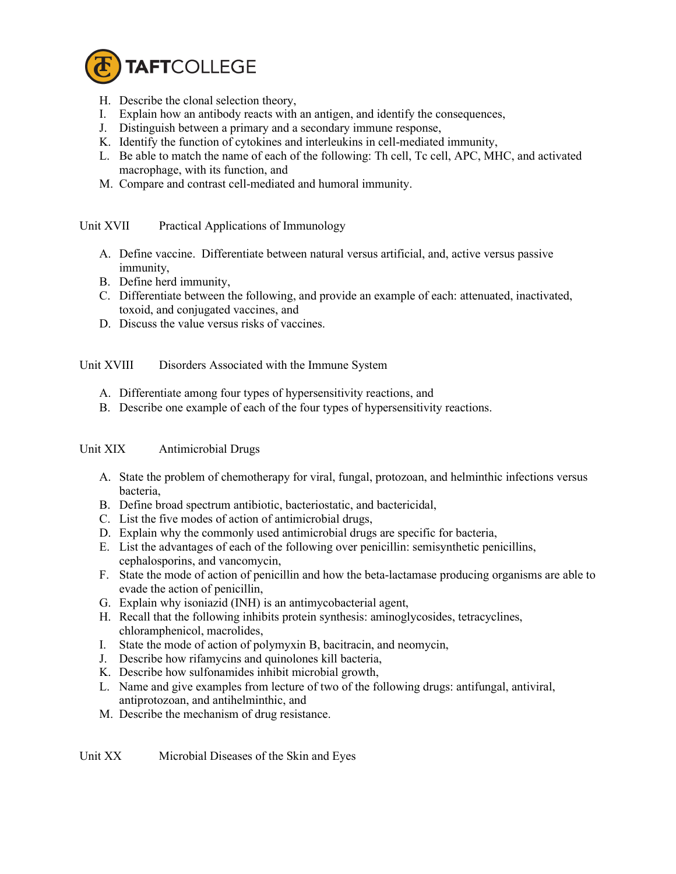

- H. Describe the clonal selection theory,
- I. Explain how an antibody reacts with an antigen, and identify the consequences,
- J. Distinguish between a primary and a secondary immune response,
- K. Identify the function of cytokines and interleukins in cell-mediated immunity,
- L. Be able to match the name of each of the following: Th cell, Tc cell, APC, MHC, and activated macrophage, with its function, and
- M. Compare and contrast cell-mediated and humoral immunity.

Unit XVII Practical Applications of Immunology

- A. Define vaccine. Differentiate between natural versus artificial, and, active versus passive immunity,
- B. Define herd immunity,
- C. Differentiate between the following, and provide an example of each: attenuated, inactivated, toxoid, and conjugated vaccines, and
- D. Discuss the value versus risks of vaccines.

Unit XVIII Disorders Associated with the Immune System

- A. Differentiate among four types of hypersensitivity reactions, and
- B. Describe one example of each of the four types of hypersensitivity reactions.

# Unit XIX Antimicrobial Drugs

- A. State the problem of chemotherapy for viral, fungal, protozoan, and helminthic infections versus bacteria,
- B. Define broad spectrum antibiotic, bacteriostatic, and bactericidal,
- C. List the five modes of action of antimicrobial drugs,
- D. Explain why the commonly used antimicrobial drugs are specific for bacteria,
- E. List the advantages of each of the following over penicillin: semisynthetic penicillins, cephalosporins, and vancomycin,
- F. State the mode of action of penicillin and how the beta-lactamase producing organisms are able to evade the action of penicillin,
- G. Explain why isoniazid (INH) is an antimycobacterial agent,
- H. Recall that the following inhibits protein synthesis: aminoglycosides, tetracyclines, chloramphenicol, macrolides,
- I. State the mode of action of polymyxin B, bacitracin, and neomycin,
- J. Describe how rifamycins and quinolones kill bacteria,
- K. Describe how sulfonamides inhibit microbial growth,
- L. Name and give examples from lecture of two of the following drugs: antifungal, antiviral, antiprotozoan, and antihelminthic, and
- M. Describe the mechanism of drug resistance.

Unit XX Microbial Diseases of the Skin and Eyes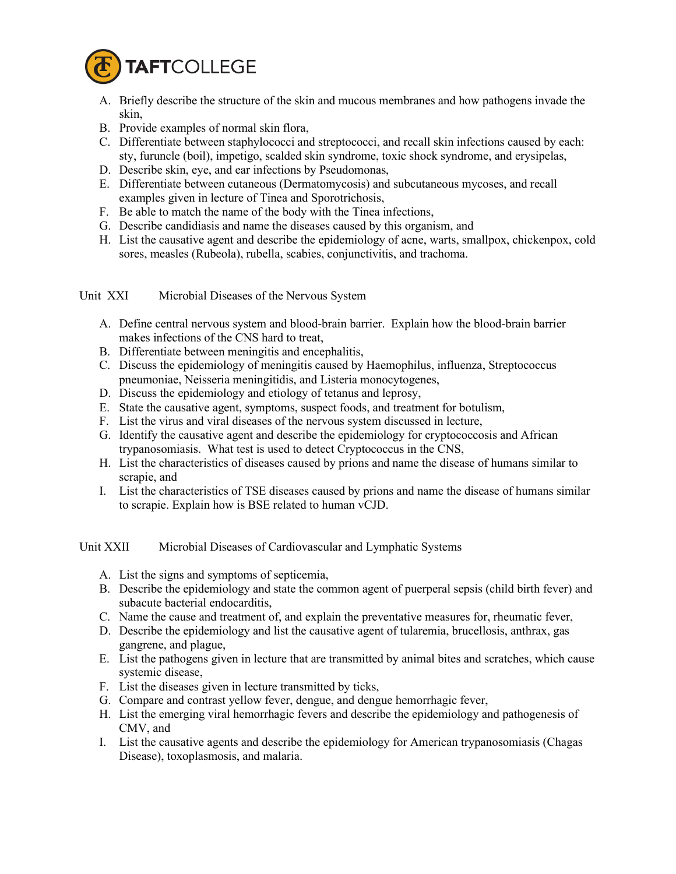

- A. Briefly describe the structure of the skin and mucous membranes and how pathogens invade the skin,
- B. Provide examples of normal skin flora,
- C. Differentiate between staphylococci and streptococci, and recall skin infections caused by each: sty, furuncle (boil), impetigo, scalded skin syndrome, toxic shock syndrome, and erysipelas,
- D. Describe skin, eye, and ear infections by Pseudomonas,
- E. Differentiate between cutaneous (Dermatomycosis) and subcutaneous mycoses, and recall examples given in lecture of Tinea and Sporotrichosis,
- F. Be able to match the name of the body with the Tinea infections,
- G. Describe candidiasis and name the diseases caused by this organism, and
- H. List the causative agent and describe the epidemiology of acne, warts, smallpox, chickenpox, cold sores, measles (Rubeola), rubella, scabies, conjunctivitis, and trachoma.

## Unit XXI Microbial Diseases of the Nervous System

- A. Define central nervous system and blood-brain barrier. Explain how the blood-brain barrier makes infections of the CNS hard to treat,
- B. Differentiate between meningitis and encephalitis,
- C. Discuss the epidemiology of meningitis caused by Haemophilus, influenza, Streptococcus pneumoniae, Neisseria meningitidis, and Listeria monocytogenes,
- D. Discuss the epidemiology and etiology of tetanus and leprosy,
- E. State the causative agent, symptoms, suspect foods, and treatment for botulism,
- F. List the virus and viral diseases of the nervous system discussed in lecture,
- G. Identify the causative agent and describe the epidemiology for cryptococcosis and African trypanosomiasis. What test is used to detect Cryptococcus in the CNS,
- H. List the characteristics of diseases caused by prions and name the disease of humans similar to scrapie, and
- I. List the characteristics of TSE diseases caused by prions and name the disease of humans similar to scrapie. Explain how is BSE related to human vCJD.

Unit XXII Microbial Diseases of Cardiovascular and Lymphatic Systems

- A. List the signs and symptoms of septicemia,
- B. Describe the epidemiology and state the common agent of puerperal sepsis (child birth fever) and subacute bacterial endocarditis,
- C. Name the cause and treatment of, and explain the preventative measures for, rheumatic fever,
- D. Describe the epidemiology and list the causative agent of tularemia, brucellosis, anthrax, gas gangrene, and plague,
- E. List the pathogens given in lecture that are transmitted by animal bites and scratches, which cause systemic disease,
- F. List the diseases given in lecture transmitted by ticks,
- G. Compare and contrast yellow fever, dengue, and dengue hemorrhagic fever,
- H. List the emerging viral hemorrhagic fevers and describe the epidemiology and pathogenesis of CMV, and
- I. List the causative agents and describe the epidemiology for American trypanosomiasis (Chagas Disease), toxoplasmosis, and malaria.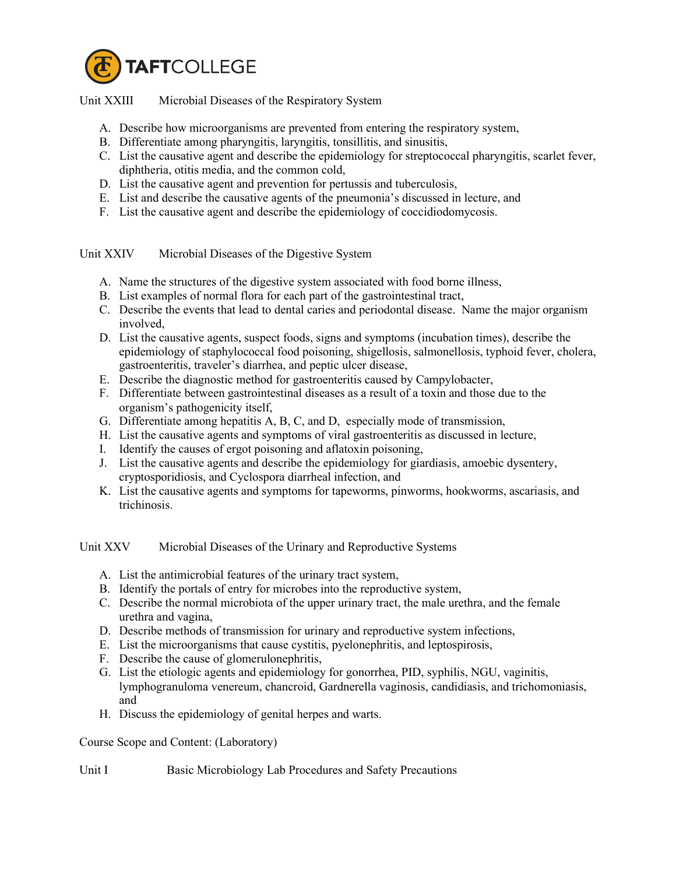

Unit XXIII Microbial Diseases of the Respiratory System

- A. Describe how microorganisms are prevented from entering the respiratory system,
- B. Differentiate among pharyngitis, laryngitis, tonsillitis, and sinusitis,
- C. List the causative agent and describe the epidemiology for streptococcal pharyngitis, scarlet fever, diphtheria, otitis media, and the common cold,
- D. List the causative agent and prevention for pertussis and tuberculosis,
- E. List and describe the causative agents of the pneumonia's discussed in lecture, and
- F. List the causative agent and describe the epidemiology of coccidiodomycosis.

Unit XXIV Microbial Diseases of the Digestive System

- A. Name the structures of the digestive system associated with food borne illness,
- B. List examples of normal flora for each part of the gastrointestinal tract,
- C. Describe the events that lead to dental caries and periodontal disease. Name the major organism involved,
- D. List the causative agents, suspect foods, signs and symptoms (incubation times), describe the epidemiology of staphylococcal food poisoning, shigellosis, salmonellosis, typhoid fever, cholera, gastroenteritis, traveler's diarrhea, and peptic ulcer disease,
- E. Describe the diagnostic method for gastroenteritis caused by Campylobacter,
- F. Differentiate between gastrointestinal diseases as a result of a toxin and those due to the organism's pathogenicity itself,
- G. Differentiate among hepatitis A, B, C, and D, especially mode of transmission,
- H. List the causative agents and symptoms of viral gastroenteritis as discussed in lecture,
- I. Identify the causes of ergot poisoning and aflatoxin poisoning,
- J. List the causative agents and describe the epidemiology for giardiasis, amoebic dysentery, cryptosporidiosis, and Cyclospora diarrheal infection, and
- K. List the causative agents and symptoms for tapeworms, pinworms, hookworms, ascariasis, and trichinosis.

Unit XXV Microbial Diseases of the Urinary and Reproductive Systems

- A. List the antimicrobial features of the urinary tract system,
- B. Identify the portals of entry for microbes into the reproductive system,
- C. Describe the normal microbiota of the upper urinary tract, the male urethra, and the female urethra and vagina,
- D. Describe methods of transmission for urinary and reproductive system infections,
- E. List the microorganisms that cause cystitis, pyelonephritis, and leptospirosis,
- F. Describe the cause of glomerulonephritis,
- G. List the etiologic agents and epidemiology for gonorrhea, PID, syphilis, NGU, vaginitis, lymphogranuloma venereum, chancroid, Gardnerella vaginosis, candidiasis, and trichomoniasis, and
- H. Discuss the epidemiology of genital herpes and warts.

Course Scope and Content: (Laboratory)

Unit I Basic Microbiology Lab Procedures and Safety Precautions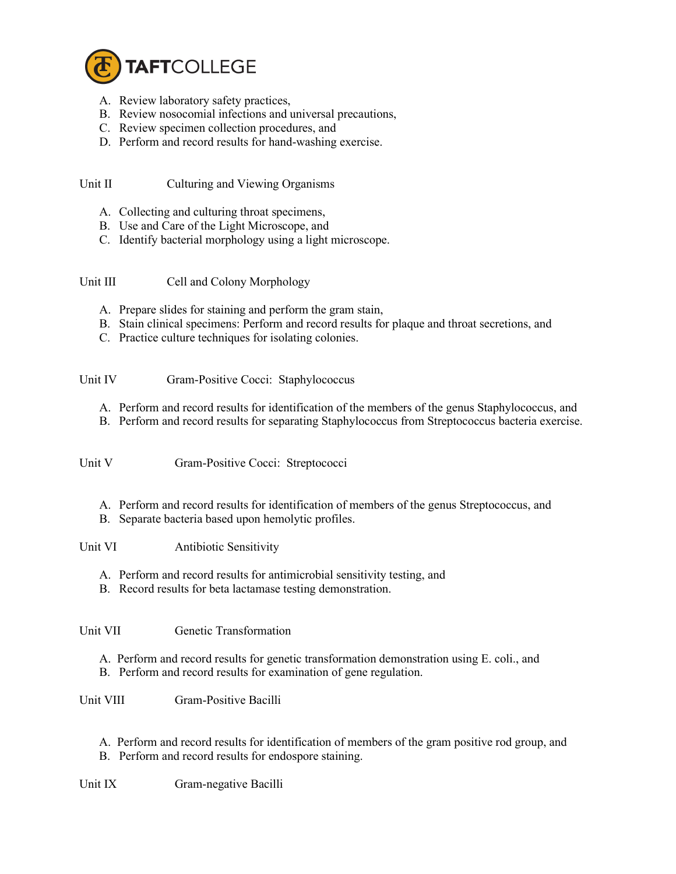

- A. Review laboratory safety practices,
- B. Review nosocomial infections and universal precautions,
- C. Review specimen collection procedures, and
- D. Perform and record results for hand-washing exercise.

Unit II Culturing and Viewing Organisms

- A. Collecting and culturing throat specimens,
- B. Use and Care of the Light Microscope, and
- C. Identify bacterial morphology using a light microscope.

Unit III Cell and Colony Morphology

- A. Prepare slides for staining and perform the gram stain,
- B. Stain clinical specimens: Perform and record results for plaque and throat secretions, and
- C. Practice culture techniques for isolating colonies.
- Unit IV Gram-Positive Cocci: Staphylococcus
	- A. Perform and record results for identification of the members of the genus Staphylococcus, and
	- B. Perform and record results for separating Staphylococcus from Streptococcus bacteria exercise.

Unit V Gram-Positive Cocci: Streptococci

- A. Perform and record results for identification of members of the genus Streptococcus, and
- B. Separate bacteria based upon hemolytic profiles.

Unit VI Antibiotic Sensitivity

- A. Perform and record results for antimicrobial sensitivity testing, and
- B. Record results for beta lactamase testing demonstration.

Unit VII Genetic Transformation

A. Perform and record results for genetic transformation demonstration using E. coli., and B. Perform and record results for examination of gene regulation.

Unit VIII Gram-Positive Bacilli

A. Perform and record results for identification of members of the gram positive rod group, and B. Perform and record results for endospore staining.

Unit IX Gram-negative Bacilli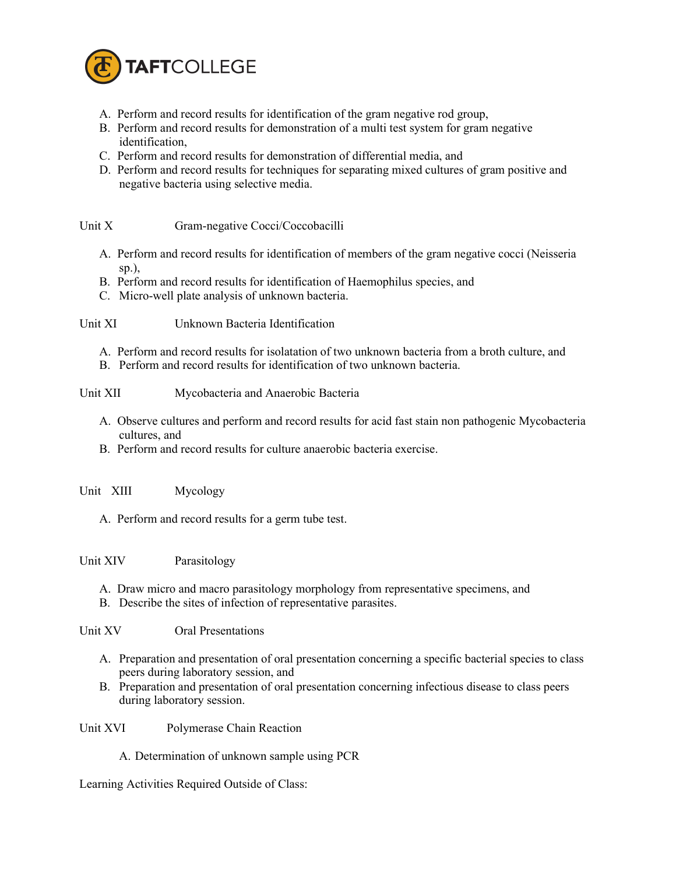

- A. Perform and record results for identification of the gram negative rod group,
- B. Perform and record results for demonstration of a multi test system for gram negative identification,
- C. Perform and record results for demonstration of differential media, and
- D. Perform and record results for techniques for separating mixed cultures of gram positive and negative bacteria using selective media.

Unit X Gram-negative Cocci/Coccobacilli

- A. Perform and record results for identification of members of the gram negative cocci (Neisseria sp.),
- B. Perform and record results for identification of Haemophilus species, and
- C. Micro-well plate analysis of unknown bacteria.

Unit XI Unknown Bacteria Identification

- A. Perform and record results for isolatation of two unknown bacteria from a broth culture, and
- B. Perform and record results for identification of two unknown bacteria.
- Unit XII Mycobacteria and Anaerobic Bacteria
	- A. Observe cultures and perform and record results for acid fast stain non pathogenic Mycobacteria cultures, and
	- B. Perform and record results for culture anaerobic bacteria exercise.
- Unit XIII Mycology
	- A. Perform and record results for a germ tube test.

### Unit XIV Parasitology

- A. Draw micro and macro parasitology morphology from representative specimens, and
- B. Describe the sites of infection of representative parasites.

Unit XV Oral Presentations

- A. Preparation and presentation of oral presentation concerning a specific bacterial species to class peers during laboratory session, and
- B. Preparation and presentation of oral presentation concerning infectious disease to class peers during laboratory session.

Unit XVI Polymerase Chain Reaction

A. Determination of unknown sample using PCR

Learning Activities Required Outside of Class: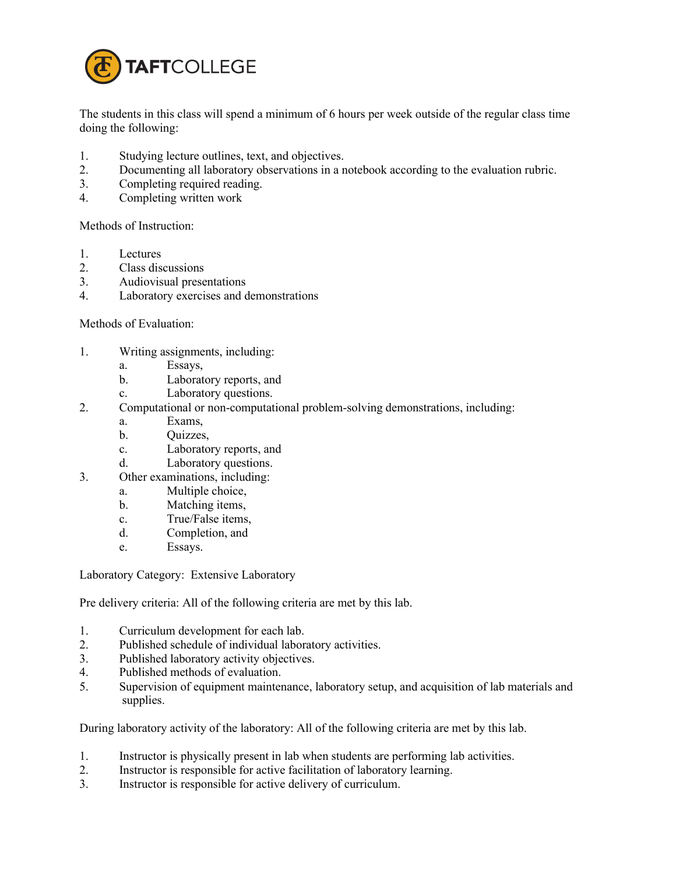

The students in this class will spend a minimum of 6 hours per week outside of the regular class time doing the following:

- 1. Studying lecture outlines, text, and objectives.
- 2. Documenting all laboratory observations in a notebook according to the evaluation rubric.
- 3. Completing required reading.
- 4. Completing written work

Methods of Instruction:

- 1. Lectures
- 2. Class discussions
- 3. Audiovisual presentations
- 4. Laboratory exercises and demonstrations

#### Methods of Evaluation:

- 1. Writing assignments, including:
	- a. Essays,
	- b. Laboratory reports, and
	- c. Laboratory questions.
- 2. Computational or non-computational problem-solving demonstrations, including:
	- a. Exams,
	- b. Quizzes,
	- c. Laboratory reports, and
	- d. Laboratory questions.
- 3. Other examinations, including:
	- a. Multiple choice,
	- b. Matching items,
	- c. True/False items,
	- d. Completion, and
	- e. Essays.

Laboratory Category: Extensive Laboratory

Pre delivery criteria: All of the following criteria are met by this lab.

- 1. Curriculum development for each lab.
- 2. Published schedule of individual laboratory activities.<br>3 Published laboratory activity objectives
- Published laboratory activity objectives.
- 4. Published methods of evaluation.
- 5. Supervision of equipment maintenance, laboratory setup, and acquisition of lab materials and supplies.

During laboratory activity of the laboratory: All of the following criteria are met by this lab.

- 1. Instructor is physically present in lab when students are performing lab activities.
- 2. Instructor is responsible for active facilitation of laboratory learning.
- 3. Instructor is responsible for active delivery of curriculum.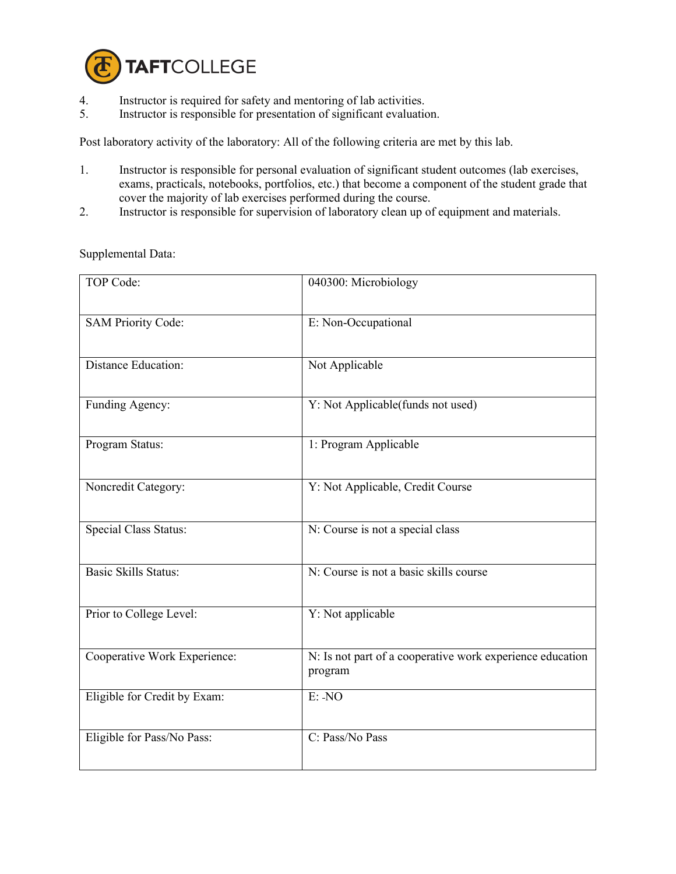

- 4. Instructor is required for safety and mentoring of lab activities.<br>5. Instructor is responsible for presentation of significant evaluation
- 5. Instructor is responsible for presentation of significant evaluation.

Post laboratory activity of the laboratory: All of the following criteria are met by this lab.

- 1. Instructor is responsible for personal evaluation of significant student outcomes (lab exercises, exams, practicals, notebooks, portfolios, etc.) that become a component of the student grade that cover the majority of lab exercises performed during the course.
- 2. Instructor is responsible for supervision of laboratory clean up of equipment and materials.

| TOP Code:                    | 040300: Microbiology                                                 |
|------------------------------|----------------------------------------------------------------------|
| <b>SAM Priority Code:</b>    | E: Non-Occupational                                                  |
| Distance Education:          | Not Applicable                                                       |
| Funding Agency:              | Y: Not Applicable(funds not used)                                    |
| Program Status:              | 1: Program Applicable                                                |
| Noncredit Category:          | Y: Not Applicable, Credit Course                                     |
| Special Class Status:        | N: Course is not a special class                                     |
| <b>Basic Skills Status:</b>  | N: Course is not a basic skills course                               |
| Prior to College Level:      | Y: Not applicable                                                    |
| Cooperative Work Experience: | N: Is not part of a cooperative work experience education<br>program |
| Eligible for Credit by Exam: | E: NO                                                                |
| Eligible for Pass/No Pass:   | C: Pass/No Pass                                                      |

Supplemental Data: